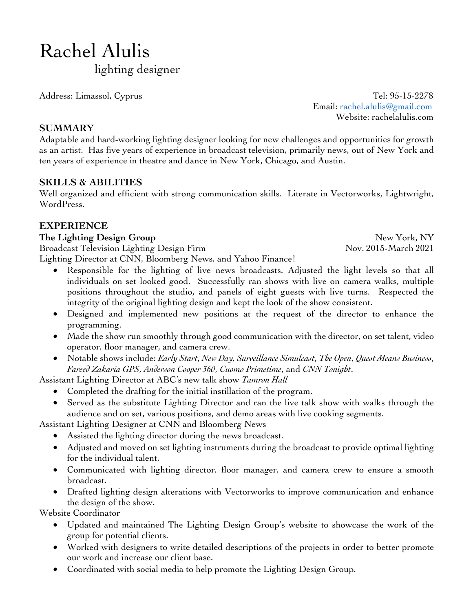# Rachel Alulis

lighting designer

Address: Limassol, Cyprus Tel: 95-15-2278 Email: rachel.alulis@gmail.com Website: rachelalulis.com

## **SUMMARY**

Adaptable and hard-working lighting designer looking for new challenges and opportunities for growth as an artist. Has five years of experience in broadcast television, primarily news, out of New York and ten years of experience in theatre and dance in New York, Chicago, and Austin.

# **SKILLS & ABILITIES**

Well organized and efficient with strong communication skills. Literate in Vectorworks, Lightwright, WordPress.

# **EXPERIENCE**

#### **The Lighting Design Group** New York, NY

Broadcast Television Lighting Design Firm Nov. 2015-March 2021 Lighting Director at CNN, Bloomberg News, and Yahoo Finance!

- Responsible for the lighting of live news broadcasts. Adjusted the light levels so that all individuals on set looked good. Successfully ran shows with live on camera walks, multiple positions throughout the studio, and panels of eight guests with live turns. Respected the integrity of the original lighting design and kept the look of the show consistent.
- Designed and implemented new positions at the request of the director to enhance the programming.
- Made the show run smoothly through good communication with the director, on set talent, video operator, floor manager, and camera crew.
- Notable shows include: *Early Start*, *New Day, Surveillance Simulcast*, *The Open*, *Quest Means Business*, *Fareed Zakaria GPS*, *Anderson Cooper 360*, *Cuomo Primetime*, and *CNN Tonight*.

Assistant Lighting Director at ABC's new talk show *Tamron Hall*

- Completed the drafting for the initial instillation of the program.
- Served as the substitute Lighting Director and ran the live talk show with walks through the audience and on set, various positions, and demo areas with live cooking segments.

Assistant Lighting Designer at CNN and Bloomberg News

- Assisted the lighting director during the news broadcast.
- Adjusted and moved on set lighting instruments during the broadcast to provide optimal lighting for the individual talent.
- Communicated with lighting director, floor manager, and camera crew to ensure a smooth broadcast.
- Drafted lighting design alterations with Vectorworks to improve communication and enhance the design of the show.

Website Coordinator

- Updated and maintained The Lighting Design Group's website to showcase the work of the group for potential clients.
- Worked with designers to write detailed descriptions of the projects in order to better promote our work and increase our client base.
- Coordinated with social media to help promote the Lighting Design Group.